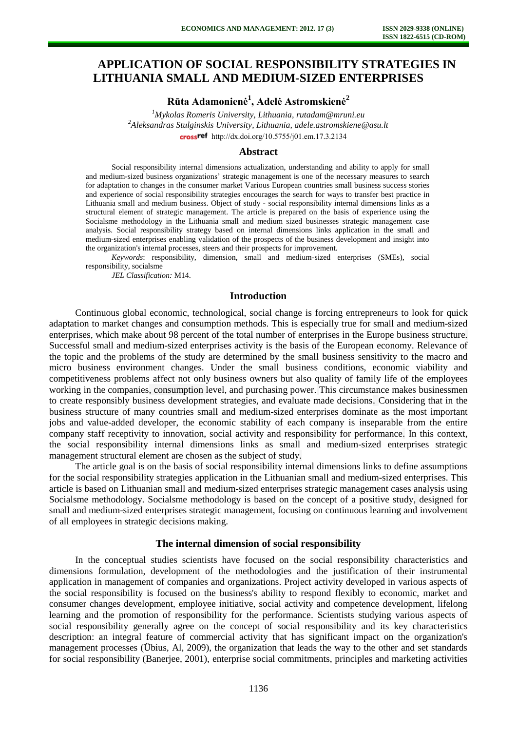# **APPLICATION OF SOCIAL RESPONSIBILITY STRATEGIES IN LITHUANIA SMALL AND MEDIUM-SIZED ENTERPRISES**

**Rūta Adamonienė<sup>1</sup> , Adelė Astromskienė<sup>2</sup>**

*<sup>1</sup>Mykolas Romeris University, Lithuania, rutadam@mruni.eu <sup>2</sup>Aleksandras Stulginskis University, Lithuania, adele.astromskiene@asu.lt*  cross<sup>ref</sup> [http://dx.doi.org/10.5755/j01.e](http://dx.doi.org/10.5755/j01.em.17.3.2134)m.17.3.2134

#### **Abstract**

Social responsibility internal dimensions actualization, understanding and ability to apply for small and medium-sized business organizations' strategic management is one of the necessary measures to search for adaptation to changes in the consumer market Various European countries small business success stories and experience of social responsibility strategies encourages the search for ways to transfer best practice in Lithuania small and medium business. Object of study - social responsibility internal dimensions links as a structural element of strategic management. The article is prepared on the basis of experience using the Socialsme methodology in the Lithuania small and medium sized businesses strategic management case analysis. Social responsibility strategy based on internal dimensions links application in the small and medium-sized enterprises enabling validation of the prospects of the business development and insight into the organization's internal processes, steers and their prospects for improvement.

*Keywords*: responsibility, dimension, small and medium-sized enterprises (SMEs), social responsibility, socialsme

*JEL Classification:* M14.

### **Introduction**

Continuous global economic, technological, social change is forcing entrepreneurs to look for quick adaptation to market changes and consumption methods. This is especially true for small and medium-sized enterprises, which make about 98 percent of the total number of enterprises in the Europe business structure. Successful small and medium-sized enterprises activity is the basis of the European economy. Relevance of the topic and the problems of the study are determined by the small business sensitivity to the macro and micro business environment changes. Under the small business conditions, economic viability and competitiveness problems affect not only business owners but also quality of family life of the employees working in the companies, consumption level, and purchasing power. This circumstance makes businessmen to create responsibly business development strategies, and evaluate made decisions. Considering that in the business structure of many countries small and medium-sized enterprises dominate as the most important jobs and value-added developer, the economic stability of each company is inseparable from the entire company staff receptivity to innovation, social activity and responsibility for performance. In this context, the social responsibility internal dimensions links as small and medium-sized enterprises strategic management structural element are chosen as the subject of study.

The article goal is on the basis of social responsibility internal dimensions links to define assumptions for the social responsibility strategies application in the Lithuanian small and medium-sized enterprises. This article is based on Lithuanian small and medium-sized enterprises strategic management cases analysis using Socialsme methodology. Socialsme methodology is based on the concept of a positive study, designed for small and medium-sized enterprises strategic management, focusing on continuous learning and involvement of all employees in strategic decisions making.

#### **The internal dimension of social responsibility**

In the conceptual studies scientists have focused on the social responsibility characteristics and dimensions formulation, development of the methodologies and the justification of their instrumental application in management of companies and organizations. Project activity developed in various aspects of the social responsibility is focused on the business's ability to respond flexibly to economic, market and consumer changes development, employee initiative, social activity and competence development, lifelong learning and the promotion of responsibility for the performance. Scientists studying various aspects of social responsibility generally agree on the concept of social responsibility and its key characteristics description: an integral feature of commercial activity that has significant impact on the organization's management processes (Übius, Al, 2009), the organization that leads the way to the other and set standards for social responsibility (Banerjee, 2001), enterprise social commitments, principles and marketing activities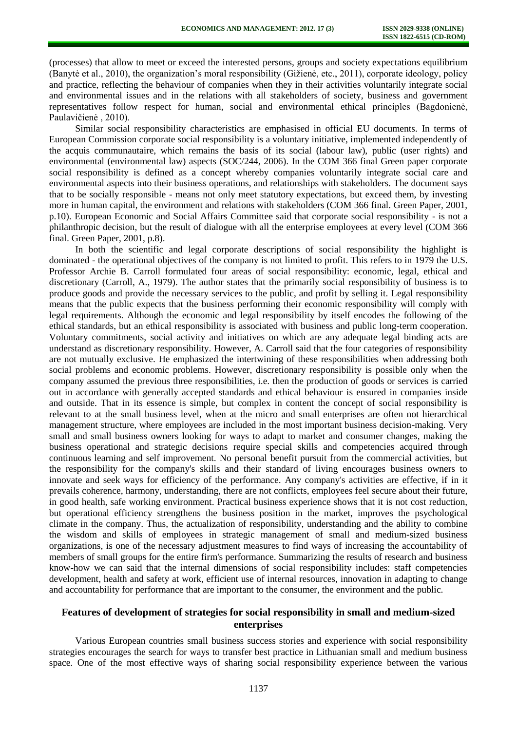(processes) that allow to meet or exceed the interested persons, groups and society expectations equilibrium (Banytė et al., 2010), the organization's moral responsibility (Gižienė, etc., 2011), corporate ideology, policy and practice, reflecting the behaviour of companies when they in their activities voluntarily integrate social and environmental issues and in the relations with all stakeholders of society, business and government representatives follow respect for human, social and environmental ethical principles (Bagdonienė, Paulavičienė , 2010).

Similar social responsibility characteristics are emphasised in official EU documents. In terms of European Commission corporate social responsibility is a voluntary initiative, implemented independently of the acquis communautaire, which remains the basis of its social (labour law), public (user rights) and environmental (environmental law) aspects (SOC/244, 2006). In the COM 366 final Green paper corporate social responsibility is defined as a concept whereby companies voluntarily integrate social care and environmental aspects into their business operations, and relationships with stakeholders. The document says that to be socially responsible - means not only meet statutory expectations, but exceed them, by investing more in human capital, the environment and relations with stakeholders (COM 366 final. Green Paper, 2001, p.10). European Economic and Social Affairs Committee said that corporate social responsibility - is not a philanthropic decision, but the result of dialogue with all the enterprise employees at every level (COM 366 final. Green Paper, 2001, p.8).

In both the scientific and legal corporate descriptions of social responsibility the highlight is dominated - the operational objectives of the company is not limited to profit. This refers to in 1979 the U.S. Professor Archie B. Carroll formulated four areas of social responsibility: economic, legal, ethical and discretionary (Carroll, A., 1979). The author states that the primarily social responsibility of business is to produce goods and provide the necessary services to the public, and profit by selling it. Legal responsibility means that the public expects that the business performing their economic responsibility will comply with legal requirements. Although the economic and legal responsibility by itself encodes the following of the ethical standards, but an ethical responsibility is associated with business and public long-term cooperation. Voluntary commitments, social activity and initiatives on which are any adequate legal binding acts are understand as discretionary responsibility. However, A. Carroll said that the four categories of responsibility are not mutually exclusive. He emphasized the intertwining of these responsibilities when addressing both social problems and economic problems. However, discretionary responsibility is possible only when the company assumed the previous three responsibilities, i.e. then the production of goods or services is carried out in accordance with generally accepted standards and ethical behaviour is ensured in companies inside and outside. That in its essence is simple, but complex in content the concept of social responsibility is relevant to at the small business level, when at the micro and small enterprises are often not hierarchical management structure, where employees are included in the most important business decision-making. Very small and small business owners looking for ways to adapt to market and consumer changes, making the business operational and strategic decisions require special skills and competencies acquired through continuous learning and self improvement. No personal benefit pursuit from the commercial activities, but the responsibility for the company's skills and their standard of living encourages business owners to innovate and seek ways for efficiency of the performance. Any company's activities are effective, if in it prevails coherence, harmony, understanding, there are not conflicts, employees feel secure about their future, in good health, safe working environment. Practical business experience shows that it is not cost reduction, but operational efficiency strengthens the business position in the market, improves the psychological climate in the company. Thus, the actualization of responsibility, understanding and the ability to combine the wisdom and skills of employees in strategic management of small and medium-sized business organizations, is one of the necessary adjustment measures to find ways of increasing the accountability of members of small groups for the entire firm's performance. Summarizing the results of research and business know-how we can said that the internal dimensions of social responsibility includes: staff competencies development, health and safety at work, efficient use of internal resources, innovation in adapting to change and accountability for performance that are important to the consumer, the environment and the public.

# **Features of development of strategies for social responsibility in small and medium-sized enterprises**

Various European countries small business success stories and experience with social responsibility strategies encourages the search for ways to transfer best practice in Lithuanian small and medium business space. One of the most effective ways of sharing social responsibility experience between the various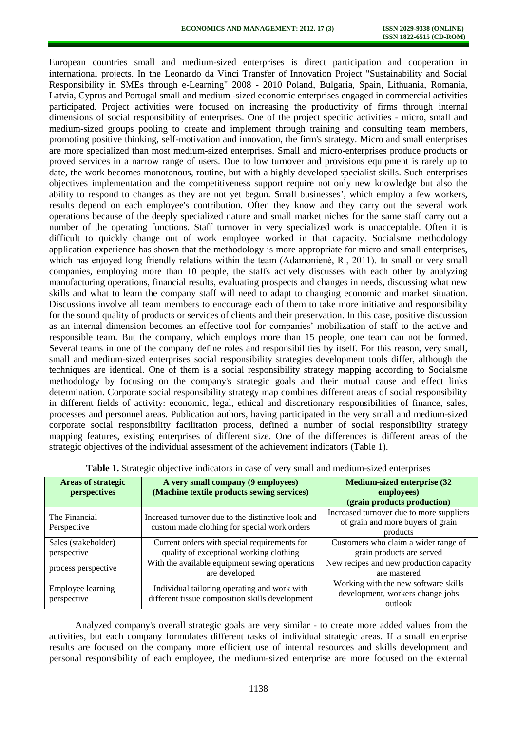European countries small and medium-sized enterprises is direct participation and cooperation in international projects. In the Leonardo da Vinci Transfer of Innovation Project "Sustainability and Social Responsibility in SMEs through e-Learning" 2008 - 2010 Poland, Bulgaria, Spain, Lithuania, Romania, Latvia, Cyprus and Portugal small and medium -sized economic enterprises engaged in commercial activities participated. Project activities were focused on increasing the productivity of firms through internal dimensions of social responsibility of enterprises. One of the project specific activities - micro, small and medium-sized groups pooling to create and implement through training and consulting team members, promoting positive thinking, self-motivation and innovation, the firm's strategy. Micro and small enterprises are more specialized than most medium-sized enterprises. Small and micro-enterprises produce products or proved services in a narrow range of users. Due to low turnover and provisions equipment is rarely up to date, the work becomes monotonous, routine, but with a highly developed specialist skills. Such enterprises objectives implementation and the competitiveness support require not only new knowledge but also the ability to respond to changes as they are not yet begun. Small businesses', which employ a few workers, results depend on each employee's contribution. Often they know and they carry out the several work operations because of the deeply specialized nature and small market niches for the same staff carry out a number of the operating functions. Staff turnover in very specialized work is unacceptable. Often it is difficult to quickly change out of work employee worked in that capacity. Socialsme methodology application experience has shown that the methodology is more appropriate for micro and small enterprises, which has enjoyed long friendly relations within the team (Adamoniene, R., 2011). In small or very small companies, employing more than 10 people, the staffs actively discusses with each other by analyzing manufacturing operations, financial results, evaluating prospects and changes in needs, discussing what new skills and what to learn the company staff will need to adapt to changing economic and market situation. Discussions involve all team members to encourage each of them to take more initiative and responsibility for the sound quality of products or services of clients and their preservation. In this case, positive discussion as an internal dimension becomes an effective tool for companies' mobilization of staff to the active and responsible team. But the company, which employs more than 15 people, one team can not be formed. Several teams in one of the company define roles and responsibilities by itself. For this reason, very small, small and medium-sized enterprises social responsibility strategies development tools differ, although the techniques are identical. One of them is a social responsibility strategy mapping according to Socialsme methodology by focusing on the company's strategic goals and their mutual cause and effect links determination. Corporate social responsibility strategy map combines different areas of social responsibility in different fields of activity: economic, legal, ethical and discretionary responsibilities of finance, sales, processes and personnel areas. Publication authors, having participated in the very small and medium-sized corporate social responsibility facilitation process, defined a number of social responsibility strategy mapping features, existing enterprises of different size. One of the differences is different areas of the strategic objectives of the individual assessment of the achievement indicators (Table 1).

| <b>Areas of strategic</b><br>perspectives | A very small company (9 employees)<br>(Machine textile products sewing services)                   | <b>Medium-sized enterprise (32</b><br>employees)<br>(grain products production)           |  |
|-------------------------------------------|----------------------------------------------------------------------------------------------------|-------------------------------------------------------------------------------------------|--|
| The Financial<br>Perspective              | Increased turnover due to the distinctive look and<br>custom made clothing for special work orders | Increased turnover due to more suppliers<br>of grain and more buyers of grain<br>products |  |
| Sales (stakeholder)                       | Current orders with special requirements for                                                       | Customers who claim a wider range of                                                      |  |
| perspective                               | quality of exceptional working clothing                                                            | grain products are served                                                                 |  |
| process perspective                       | With the available equipment sewing operations<br>are developed                                    | New recipes and new production capacity<br>are mastered                                   |  |
| Employee learning<br>perspective          | Individual tailoring operating and work with<br>different tissue composition skills development    | Working with the new software skills<br>development, workers change jobs<br>outlook       |  |

|  |  |  | Table 1. Strategic objective indicators in case of very small and medium-sized enterprises |  |
|--|--|--|--------------------------------------------------------------------------------------------|--|
|--|--|--|--------------------------------------------------------------------------------------------|--|

Analyzed company's overall strategic goals are very similar - to create more added values from the activities, but each company formulates different tasks of individual strategic areas. If a small enterprise results are focused on the company more efficient use of internal resources and skills development and personal responsibility of each employee, the medium-sized enterprise are more focused on the external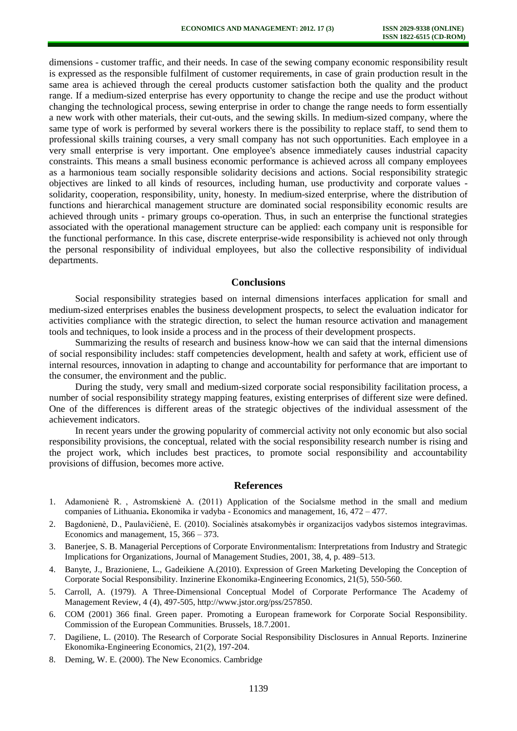dimensions - customer traffic, and their needs. In case of the sewing company economic responsibility result is expressed as the responsible fulfilment of customer requirements, in case of grain production result in the same area is achieved through the cereal products customer satisfaction both the quality and the product range. If a medium-sized enterprise has every opportunity to change the recipe and use the product without changing the technological process, sewing enterprise in order to change the range needs to form essentially a new work with other materials, their cut-outs, and the sewing skills. In medium-sized company, where the same type of work is performed by several workers there is the possibility to replace staff, to send them to professional skills training courses, a very small company has not such opportunities. Each employee in a very small enterprise is very important. One employee's absence immediately causes industrial capacity constraints. This means a small business economic performance is achieved across all company employees as a harmonious team socially responsible solidarity decisions and actions. Social responsibility strategic objectives are linked to all kinds of resources, including human, use productivity and corporate values solidarity, cooperation, responsibility, unity, honesty. In medium-sized enterprise, where the distribution of functions and hierarchical management structure are dominated social responsibility economic results are achieved through units - primary groups co-operation. Thus, in such an enterprise the functional strategies associated with the operational management structure can be applied: each company unit is responsible for the functional performance. In this case, discrete enterprise-wide responsibility is achieved not only through the personal responsibility of individual employees, but also the collective responsibility of individual departments.

## **Conclusions**

Social responsibility strategies based on internal dimensions interfaces application for small and medium-sized enterprises enables the business development prospects, to select the evaluation indicator for activities compliance with the strategic direction, to select the human resource activation and management tools and techniques, to look inside a process and in the process of their development prospects.

Summarizing the results of research and business know-how we can said that the internal dimensions of social responsibility includes: staff competencies development, health and safety at work, efficient use of internal resources, innovation in adapting to change and accountability for performance that are important to the consumer, the environment and the public.

During the study, very small and medium-sized corporate social responsibility facilitation process, a number of social responsibility strategy mapping features, existing enterprises of different size were defined. One of the differences is different areas of the strategic objectives of the individual assessment of the achievement indicators.

In recent years under the growing popularity of commercial activity not only economic but also social responsibility provisions, the conceptual, related with the social responsibility research number is rising and the project work, which includes best practices, to promote social responsibility and accountability provisions of diffusion, becomes more active.

#### **References**

- 1. Adamonienė R. , Astromskienė A. (2011) Application of the Socialsme method in the small and medium companies of Lithuania**.** Ekonomika ir vadyba - Economics and management, 16, 472 – 477.
- 2. Bagdonienė, D., Paulavičienė, E. (2010). Socialinės atsakomybės ir organizacijos vadybos sistemos integravimas. Economics and management, 15, 366 – 373.
- 3. Banerjee, S. B. Managerial Perceptions of Corporate Environmentalism: Interpretations from Industry and Strategic Implications for Organizations, Journal of Management Studies, 2001, 38, 4, p. 489–513.
- 4. Banyte, J., Brazioniene, L., Gadeikiene A.(2010). Expression of Green Marketing Developing the Conception of Corporate Social Responsibility. Inzinerine Ekonomika-Engineering Economics, 21(5), 550-560.
- 5. Carroll, A. (1979). A Three-Dimensional Conceptual Model of Corporate Performance The Academy of Management Review, 4 (4), 497-505, http://www.jstor.org/pss/257850.
- 6. COM (2001) 366 final. Green paper. Promoting a European framework for Corporate Social Responsibility. Commission of the European Communities. Brussels, 18.7.2001.
- 7. Dagiliene, L. (2010). The Research of Corporate Social Responsibility Disclosures in Annual Reports. Inzinerine Ekonomika-Engineering Economics, 21(2), 197-204.
- 8. Deming, W. E. (2000). The New Economics. Cambridge